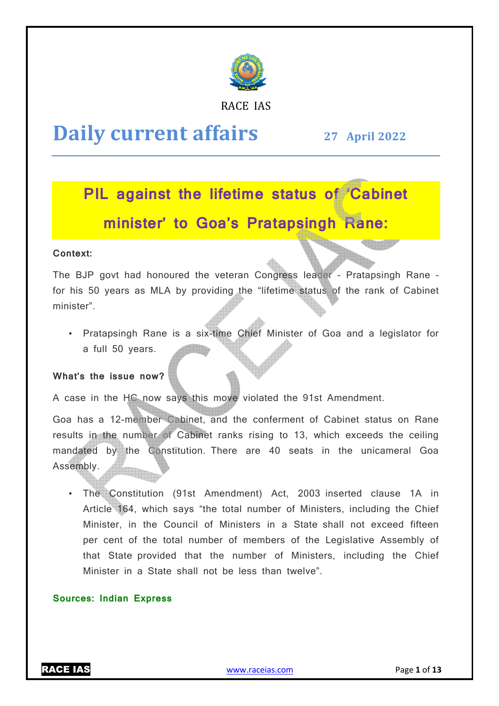

RACE IAS

## **Daily current affairs**

**27 April April 2022**

# **PIL against the lifetime status of 'Cabinet minister' to Goa's Pratapsingh Rane:**

### **Context:**

The BJP govt had honoured the veteran Congress leader – Pratapsingh Rane – for his 50 years as MLA by providing the "lifetime status of the rank of Cabinet minister".

• Pratapsingh Rane is a six-time Chief Minister of Goa and a legislator for a full 50 years.

### **What's the issue now?**

A case in the HC now says this move violated the 91st Amendment.

Goa has a 12-member Cabinet, and the conferment of Cabinet status on Rane results in the number of Cabinet ranks rising to 13, which exceeds the ceiling mandated by the Constitution. There are 40 seats in the unicameral Goa Assembly. time Chief Minister of Goa and<br>move violated the 91st Amendm<br>and the conferment of Cabinet<br>ranks rising to 13, which exce<br>There are 40 seats in the u<br>mendment) Act, 2003 inserted

• The Constitution (91st Amendment) Act, 2003 2003 inserted clause 1A in Article 164, which says "the total number of Ministers, including the Chief Minister, in the Council of Ministers in a State shall not exceed fifteen per cent of the total number of members of the Legislative Assembly of that State provided that the number of Ministers, including the Chief Minister in a State shall not be less than twelve".

### **Sources: Indian Express**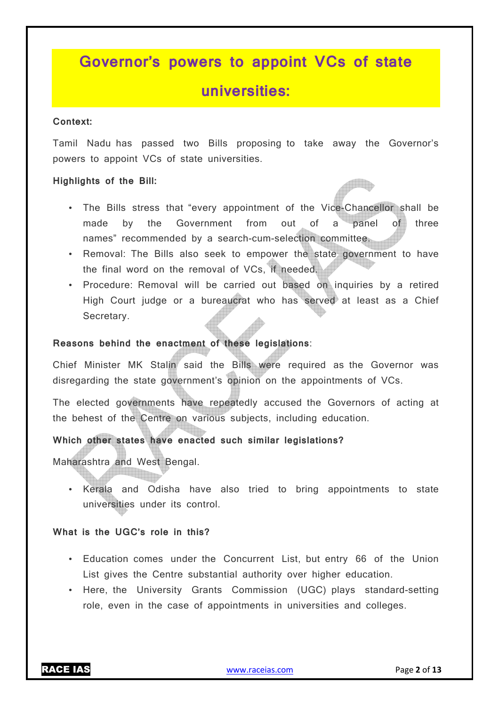## **Governor's powers to appoint VCs of state universities:**

### **Context:**

Tamil Nadu has passed two Bills proposing to take away the Governor's powers to appoint VCs of state universities.

### **Highlights of the Bill:**

- The Bills stress that "every appointment of the Vice-Chancellor shall be made by the Government from out of a panel of three names" recommended by a search-cum-selection committee.
- Removal: The Bills also seek to empower the state government to have the final word on the removal of VCs, if needed.
- Procedure: Removal will be carried out based on inquiries by a retired High Court judge or a bureaucrat who has served at least as a Chief Secretary.

### **Reasons behind the enactment of these legislations**:

Chief Minister MK Stalin said the Bills were required as the Governor was disregarding the state government's opinion on the appointments of VCs.

The elected governments have repeatedly accused the Governors of acting at the behest of the Centre on various subjects, including education.

### **Which other states have enacted such similar legislations?**

Maharashtra and West Bengal.

• Kerala and Odisha have also tried to bring appointments to state universities under its control.

### **What is the UGC's role in this?**

- Education comes under the Concurrent List, but entry 66 of the Union List gives the Centre substantial authority over higher education.
- Here, the University Grants Commission (UGC) plays standard-setting role, even in the case of appointments in universities and colleges.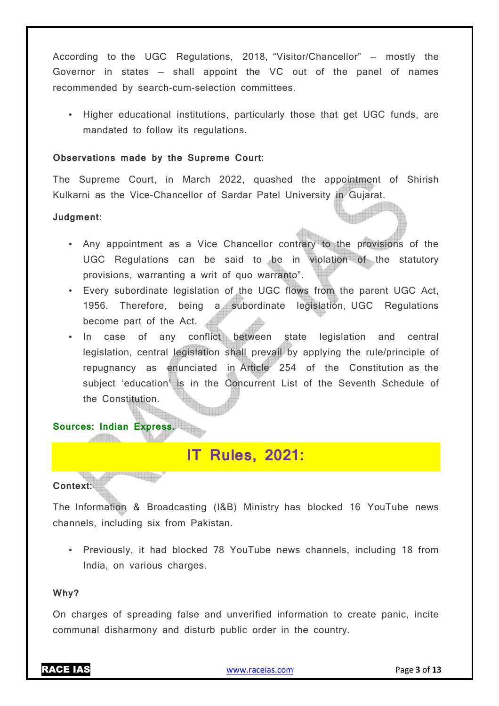According to the UGC Regulations, 2018, "Visitor/Chancellor" — mostly the Governor in states — shall appoint the VC out of the panel of names recommended by search-cum-selection committees.

• Higher educational institutions, particularly those that get UGC funds, are mandated to follow its regulations.

### **Observations made by the Supreme Court:**

The Supreme Court, in March 2022, quashed the appointment of Shirish Kulkarni as the Vice-Chancellor of Sardar Patel University in Gujarat.

### **Judgment:**

- Any appointment as a Vice Chancellor contrary to the provisions of the UGC Regulations can be said to be in violation of the statutory provisions, warranting a writ of quo warranto".
- Every subordinate legislation of the UGC flows from the parent UGC Act, 1956. Therefore, being a subordinate legislation, UGC Regulations become part of the Act.
- In case of any conflict between state legislation and central legislation, central legislation shall prevail by applying the rule/principle of repugnancy as enunciated in Article 254 of the Constitution as the subject 'education' is in the Concurrent List of the Seventh Schedule of the Constitution.

### **Sources: Indian Express.**

**Signal D** 

**ACCESSION** 

### **IT Rules, 2021:**

### **Context:**

The Information & Broadcasting (I&B) Ministry has blocked 16 YouTube news channels, including six from Pakistan.

• Previously, it had blocked 78 YouTube news channels, including 18 from India, on various charges.

#### **Why?**

On charges of spreading false and unverified information to create panic, incite communal disharmony and disturb public order in the country.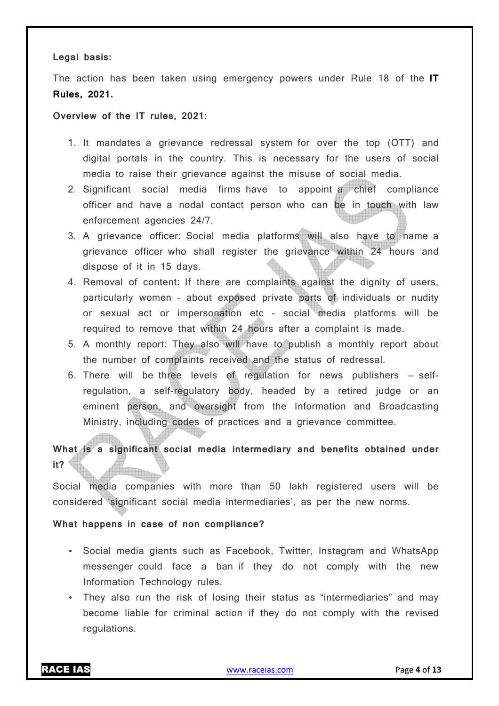### **Legal basis:**

The action has been taken using emergency powers under Rule 18 of the **IT Rules, 2021.**

### **Overview of the IT rules, 2021:**

- 1. It mandates a grievance redressal system for over the top (OTT) and digital portals in the country. This is necessary for the users of social media to raise their grievance against the misuse of social media.
- 2. Significant social media firms have to appoint a chief compliance officer and have a nodal contact person who can be in touch with law enforcement agencies 24/7.
- 3. A grievance officer: Social media platforms will also have to name a grievance officer who shall register the grievance within 24 hours and dispose of it in 15 days.
- 4. Removal of content: If there are complaints against the dignity of users, particularly women – about exposed private parts of individuals or nudity or sexual act or impersonation etc – social media platforms will be required to remove that within 24 hours after a complaint is made.
- 5. A monthly report: They also will have to publish a monthly report about the number of complaints received and the status of redressal.
- 6. There will be three levels of regulation for news publishers selfregulation, a self-regulatory body, headed by a retired judge or an eminent person, and oversight from the Information and Broadcasting Ministry, including codes of practices and a grievance committee.

### **What is a significant social media intermediary and benefits obtained under it?**

Social media companies with more than 50 lakh registered users will be considered 'significant social media intermediaries', as per the new norms.

### **What happens in case of non compliance?**

- Social media giants such as Facebook, Twitter, Instagram and WhatsApp messenger could face a ban if they do not comply with the new Information Technology rules.
- They also run the risk of losing their status as "intermediaries" and may become liable for criminal action if they do not comply with the revised regulations.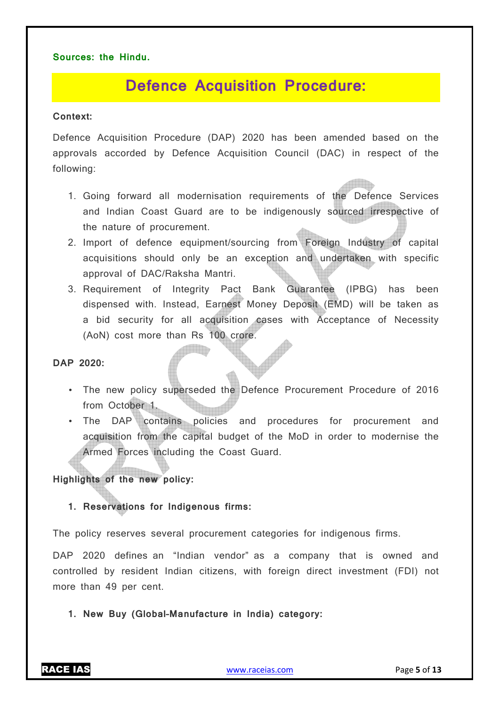### **Sources: the Hindu.**

## **Defence Acquisition Procedure:**

### **Context:**

Defence Acquisition Procedure (DAP) 2020 has been amended based on the approvals accorded by Defence Acquisition Council (DAC) in respect of the following:

- 1. Going forward all modernisation requirements of the Defence Services and Indian Coast Guard are to be indigenously sourced irrespective of the nature of procurement.
- 2. Import of defence equipment/sourcing from Foreign Industry of capital acquisitions should only be an exception and undertaken with specific approval of DAC/Raksha Mantri.
- 3. Requirement of Integrity Pact Bank Guarantee (IPBG) has been dispensed with. Instead, Earnest Money Deposit (EMD) will be taken as a bid security for all acquisition cases with Acceptance of Necessity (AoN) cost more than Rs 100 crore.

**DAP 2020:** 

- The new policy superseded the Defence Procurement Procedure of 2016 from October 1.
- The DAP contains policies and procedures for procurement and acquisition from the capital budget of the MoD in order to modernise the Armed Forces including the Coast Guard.

### **Highlights of the new policy:**

**1. Reservations for Indigenous firms:** 

The policy reserves several procurement categories for indigenous firms.

DAP 2020 defines an "Indian vendor" as a company that is owned and controlled by resident Indian citizens, with foreign direct investment (FDI) not more than 49 per cent.

**1. New Buy (Global–Manufacture in India) category:**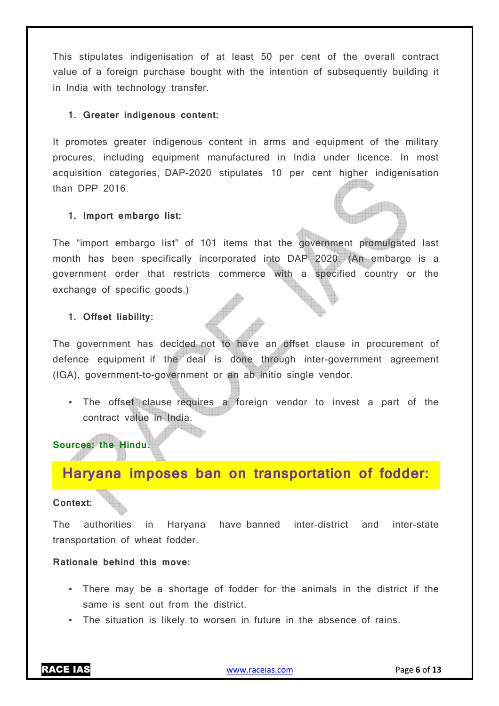This stipulates indigenisation of at least 50 per cent of the overall contract value of a foreign purchase bought with the intention of subsequently building it in India with technology transfer.

### **1. Greater indigenous content:**

It promotes greater indigenous content in arms and equipment of the military procures, including equipment manufactured in India under licence. In most acquisition categories, DAP-2020 stipulates 10 per cent higher indigenisation than DPP 2016.

### **1. Import embargo list:**

The "import embargo list" of 101 items that the government promulgated last month has been specifically incorporated into DAP 2020. (An embargo is a government order that restricts commerce with a specified country or the exchange of specific goods.)

### **1. Offset liability:**

The government has decided not to have an offset clause in procurement of defence equipment if the deal is done through inter-government agreement (IGA), government-to-government or an ab initio single vendor.

• The offset clause requires a foreign vendor to invest a part of the contract value in India.

### **Sources: the Hindu.**

### **Haryana imposes ban on transportation of fodder:**

### **Context:**

The authorities in Haryana have banned inter-district and inter-state transportation of wheat fodder.

### **Rationale behind this move:**

- There may be a shortage of fodder for the animals in the district if the same is sent out from the district.
- The situation is likely to worsen in future in the absence of rains.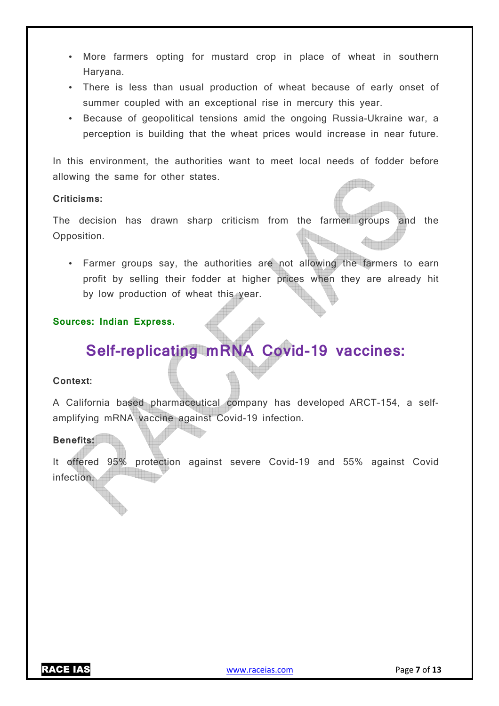- More farmers opting for mustard crop in place of wheat in southern Haryana.
- There is less than usual production of wheat because of early onset of summer coupled with an exceptional rise in mercury this year.
- Because of geopolitical tensions amid the ongoing Russia-Ukraine war, a perception is building that the wheat prices would increase in near future.

In this environment, the authorities want to meet local needs of fodder before allowing the same for other states.

### **Criticisms:**

The decision has drawn sharp criticism from the farmer groups and the Opposition.

• Farmer groups say, the authorities are not allowing the farmers to earn profit by selling their fodder at higher prices when they are already hit by low production of wheat this year.

### **Sources: Indian Express.**

## **Self-replicating mRNA Covid-19 vaccines:**

### **Context:**

A California based pharmaceutical company has developed ARCT-154, a selfamplifying mRNA vaccine against Covid-19 infection.

### **Benefits:**

It offered 95% protection against severe Covid-19 and 55% against Covid infection.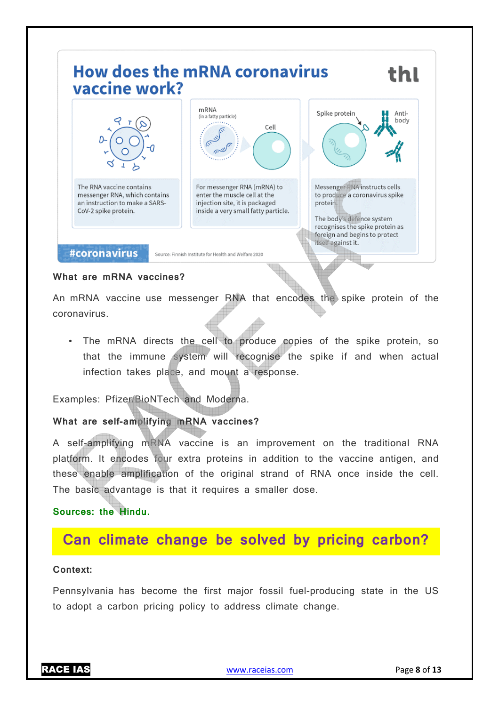

### **What are mRNA vaccines?**

An mRNA vaccine use messenger RNA that encodes the spike protein of the coronavirus.

• The mRNA directs the cell to produce copies of the spike protein, so that the immune system will recognise the spike if and when actual infection takes place, and mount a response.

Examples: Pfizer/BioNTech and Moderna.

### What are self-amplifying mRNA vaccines?

A self-amplifying mRNA vaccine is an improvement on the traditional RNA platform. It encodes four extra proteins in addition to the vaccine antigen, and these enable amplification of the original strand of RNA once inside the cell. The basic advantage is that it requires a smaller dose. amplifying mRNA vaccine is an improvement on the traditional RNA<br>
1. It encodes four extra proteins in addition to the vaccine antigen, and<br>
shable amplification of the original strand of RNA once inside the cell.<br>
1. Is a

### **Sources: the Hindu.**

### **Can climate change be solved by pricing carbon?**

#### **Context:**

Pennsylvania has become the first major fossil fuel producing to adopt a carbon pricing policy to address climate change.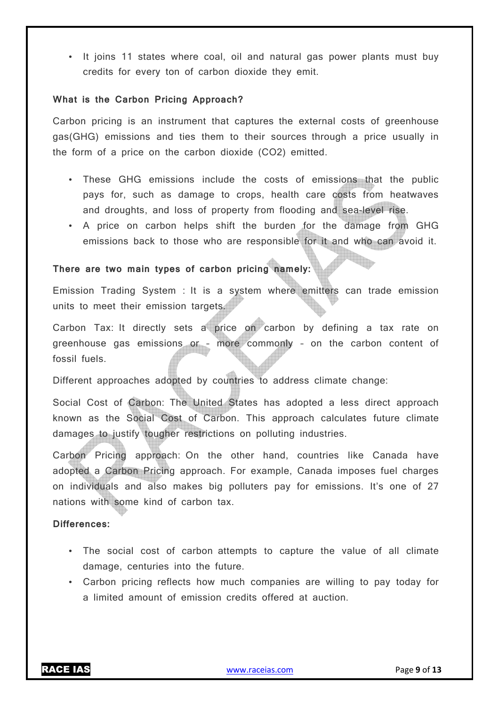• It joins 11 states where coal, oil and natural gas power plants must buy credits for every ton of carbon dioxide they emit.

### **What is the Carbon Pricing Approach?**

Carbon pricing is an instrument that captures the external costs of greenhouse gas(GHG) emissions and ties them to their sources through a price usually in the form of a price on the carbon dioxide (CO2) emitted.

- These GHG emissions include the costs of emissions that the public pays for, such as damage to crops, health care costs from heatwaves and droughts, and loss of property from flooding and sea-level rise.
- A price on carbon helps shift the burden for the damage from GHG emissions back to those who are responsible for it and who can avoid it.

### **There are two main types of carbon pricing namely:**

Emission Trading System : It is a system where emitters can trade emission units to meet their emission targets.

Carbon Tax: It directly sets a price on carbon by defining a tax rate on greenhouse gas emissions or – more commonly – on the carbon content of fossil fuels.

Different approaches adopted by countries to address climate change:

Social Cost of Carbon: The United States has adopted a less direct approach known as the Social Cost of Carbon. This approach calculates future climate damages to justify tougher restrictions on polluting industries.

Carbon Pricing approach: On the other hand, countries like Canada have adopted a Carbon Pricing approach. For example, Canada imposes fuel charges on individuals and also makes big polluters pay for emissions. It's one of 27 nations with some kind of carbon tax.

#### **Differences:**

- The social cost of carbon attempts to capture the value of all climate damage, centuries into the future.
- Carbon pricing reflects how much companies are willing to pay today for a limited amount of emission credits offered at auction.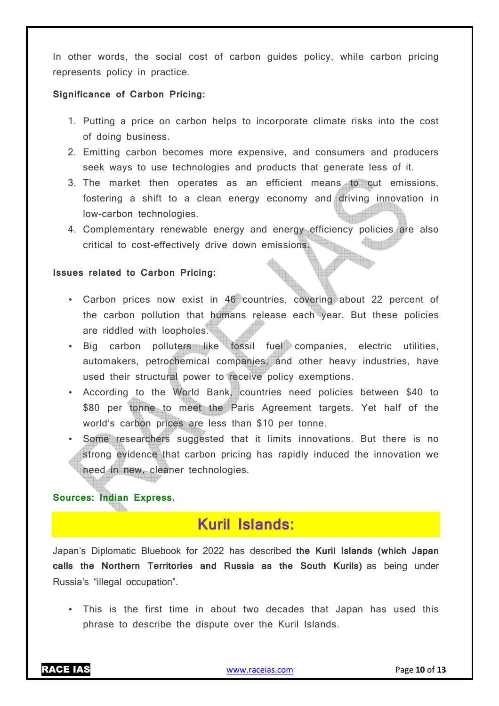In other words, the social cost of carbon guides policy, while carbon pricing represents policy in practice.

### **Significance of Carbon Pricing:**

- 1. Putting a price on carbon helps to incorporate climate risks into the cost of doing business.
- 2. Emitting carbon becomes more expensive, and consumers and producers seek ways to use technologies and products that generate less of it.
- 3. The market then operates as an efficient means to cut emissions, fostering a shift to a clean energy economy and driving innovation in low-carbon technologies.
- 4. Complementary renewable energy and energy efficiency policies are also critical to cost-effectively drive down emissions.

#### **Issues related to Carbon Pricing:**

- Carbon prices now exist in 46 countries, covering about 22 percent of the carbon pollution that humans release each year. But these policies are riddled with loopholes.
- Big carbon polluters like fossil fuel companies, electric utilities, automakers, petrochemical companies, and other heavy industries, have used their structural power to receive policy exemptions.
- According to the World Bank, countries need policies between \$40 to \$80 per tonne to meet the Paris Agreement targets. Yet half of the world's carbon prices are less than \$10 per tonne.
- Some researchers suggested that it limits innovations. But there is no strong evidence that carbon pricing has rapidly induced the innovation we need in new, cleaner technologies.

### **Sources: Indian Express.**

### **Kuril Islands:**

Japan's Diplomatic Bluebook for 2022 has described **the Kuril Islands (which Japan calls the Northern Territories and Russia as the South Kurils)** as being under Russia's "illegal occupation".

• This is the first time in about two decades that Japan has used this phrase to describe the dispute over the Kuril Islands.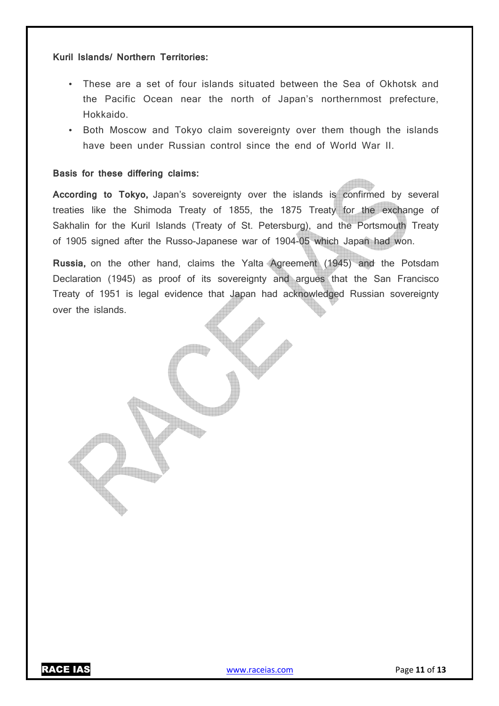#### **Kuril Islands/ Northern Territories:**

- These are a set of four islands situated between the Sea of Okhotsk and the Pacific Ocean near the north of Japan's northernmost prefecture, Hokkaido.
- Both Moscow and Tokyo claim sovereignty over them though the islands have been under Russian control since the end of World War II.

### **Basis for these differing claims:**

**According to Tokyo,** Japan's sovereignty over the islands is confirmed by several treaties like the Shimoda Treaty of 1855, the 1875 Treaty for the exchange of Sakhalin for the Kuril Islands (Treaty of St. Petersburg), and the Portsmouth Treaty of 1905 signed after the Russo-Japanese war of 1904-05 which Japan had won.

**Russia,** on the other hand, claims the Yalta Agreement (1945) and the Potsdam Declaration (1945) as proof of its sovereignty and argues that the San Francisco Treaty of 1951 is legal evidence that Japan had acknowledged Russian sovereignty over the islands.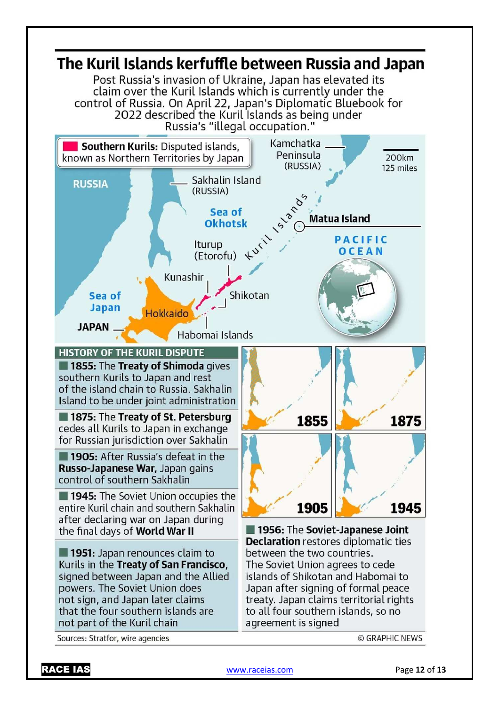

RACE IAS www.raceias.com Page **12** of **13**